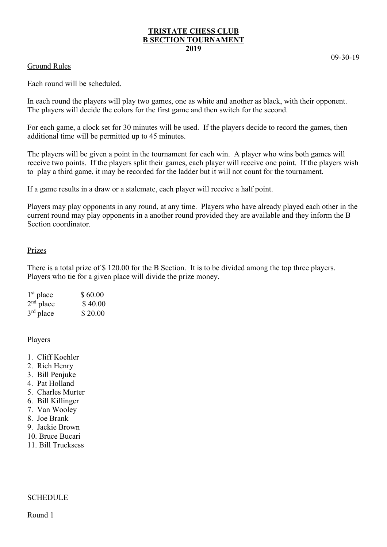# **TRISTATE CHESS CLUB B SECTION TOURNAMENT 2019**

## Ground Rules

09-30-19

Each round will be scheduled.

In each round the players will play two games, one as white and another as black, with their opponent. The players will decide the colors for the first game and then switch for the second.

For each game, a clock set for 30 minutes will be used. If the players decide to record the games, then additional time will be permitted up to 45 minutes.

The players will be given a point in the tournament for each win. A player who wins both games will receive two points. If the players split their games, each player will receive one point. If the players wish to play a third game, it may be recorded for the ladder but it will not count for the tournament.

If a game results in a draw or a stalemate, each player will receive a half point.

Players may play opponents in any round, at any time. Players who have already played each other in the current round may play opponents in a another round provided they are available and they inform the B Section coordinator.

## Prizes

There is a total prize of \$ 120.00 for the B Section. It is to be divided among the top three players. Players who tie for a given place will divide the prize money.

| $1st$ place           | \$60.00 |  |  |
|-----------------------|---------|--|--|
| $2nd$ place           | \$40.00 |  |  |
| $3^{\text{rd}}$ place | \$20.00 |  |  |

## Players

- 1. Cliff Koehler
- 2. Rich Henry
- 3. Bill Penjuke
- 4. Pat Holland
- 5. Charles Murter
- 6. Bill Killinger
- 7. Van Wooley
- 8. Joe Brank
- 9. Jackie Brown
- 10. Bruce Bucari
- 11. Bill Trucksess

## **SCHEDULE**

Round 1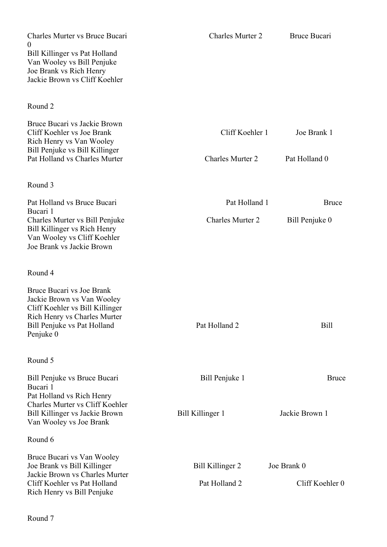| Charles Murter vs Bruce Bucari<br>$\theta$<br>Bill Killinger vs Pat Holland<br>Van Wooley vs Bill Penjuke<br>Joe Brank vs Rich Henry<br>Jackie Brown vs Cliff Koehler         | <b>Charles Murter 2</b>                    | Bruce Bucari                   |  |
|-------------------------------------------------------------------------------------------------------------------------------------------------------------------------------|--------------------------------------------|--------------------------------|--|
| Round 2                                                                                                                                                                       |                                            |                                |  |
| Bruce Bucari vs Jackie Brown<br>Cliff Koehler vs Joe Brank<br>Rich Henry vs Van Wooley<br>Bill Penjuke vs Bill Killinger<br>Pat Holland vs Charles Murter                     | Cliff Koehler 1<br><b>Charles Murter 2</b> | Joe Brank 1<br>Pat Holland 0   |  |
| Round 3                                                                                                                                                                       |                                            |                                |  |
| Pat Holland vs Bruce Bucari                                                                                                                                                   | Pat Holland 1                              | <b>Bruce</b>                   |  |
| Bucari 1<br>Charles Murter vs Bill Penjuke<br>Bill Killinger vs Rich Henry<br>Van Wooley vs Cliff Koehler<br>Joe Brank vs Jackie Brown                                        | <b>Charles Murter 2</b>                    | Bill Penjuke 0                 |  |
| Round 4                                                                                                                                                                       |                                            |                                |  |
| Bruce Bucari vs Joe Brank<br>Jackie Brown vs Van Wooley<br>Cliff Koehler vs Bill Killinger<br><b>Rich Henry vs Charles Murter</b><br>Bill Penjuke vs Pat Holland<br>Penjuke 0 | Pat Holland 2                              | <b>Bill</b>                    |  |
| Round 5                                                                                                                                                                       |                                            |                                |  |
| Bill Penjuke vs Bruce Bucari<br>Bucari 1<br>Pat Holland vs Rich Henry<br>Charles Murter vs Cliff Koehler<br>Bill Killinger vs Jackie Brown                                    | Bill Penjuke 1<br>Bill Killinger 1         | <b>Bruce</b><br>Jackie Brown 1 |  |
| Van Wooley vs Joe Brank                                                                                                                                                       |                                            |                                |  |
| Round 6                                                                                                                                                                       |                                            |                                |  |
| Bruce Bucari vs Van Wooley<br>Joe Brank vs Bill Killinger<br>Jackie Brown vs Charles Murter<br>Cliff Koehler vs Pat Holland<br>Rich Henry vs Bill Penjuke                     | Bill Killinger 2<br>Pat Holland 2          | Joe Brank 0<br>Cliff Koehler 0 |  |